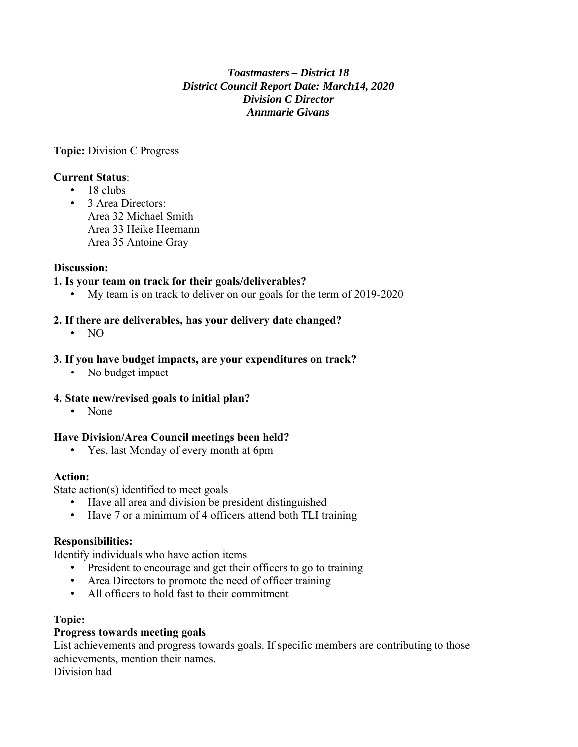## *Toastmasters – District 18 District Council Report Date: March14, 2020 Division C Director Annmarie Givans*

**Topic:** Division C Progress

### **Current Status**:

- $\cdot$  18 clubs
- 3 Area Directors: Area 32 Michael Smith Area 33 Heike Heemann Area 35 Antoine Gray

### **Discussion:**

#### **1. Is your team on track for their goals/deliverables?**

• My team is on track to deliver on our goals for the term of 2019-2020

#### **2. If there are deliverables, has your delivery date changed?**

• NO

#### **3. If you have budget impacts, are your expenditures on track?**

• No budget impact

#### **4. State new/revised goals to initial plan?**

• None

#### **Have Division/Area Council meetings been held?**

• Yes, last Monday of every month at 6pm

#### **Action:**

State action(s) identified to meet goals

- Have all area and division be president distinguished
- Have 7 or a minimum of 4 officers attend both TLI training

#### **Responsibilities:**

Identify individuals who have action items

- President to encourage and get their officers to go to training
- Area Directors to promote the need of officer training
- All officers to hold fast to their commitment

### **Topic:**

#### **Progress towards meeting goals**

List achievements and progress towards goals. If specific members are contributing to those achievements, mention their names.

Division had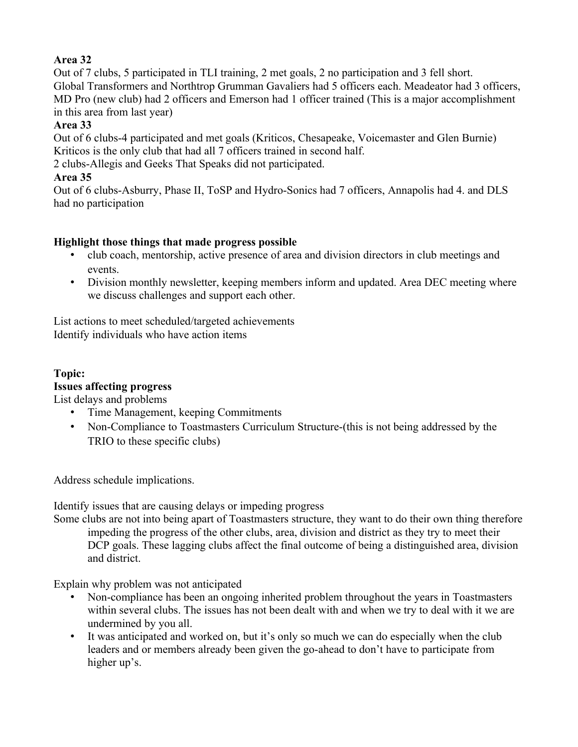# **Area 32**

Out of 7 clubs, 5 participated in TLI training, 2 met goals, 2 no participation and 3 fell short. Global Transformers and Northtrop Grumman Gavaliers had 5 officers each. Meadeator had 3 officers, MD Pro (new club) had 2 officers and Emerson had 1 officer trained (This is a major accomplishment in this area from last year)

## **Area 33**

Out of 6 clubs-4 participated and met goals (Kriticos, Chesapeake, Voicemaster and Glen Burnie) Kriticos is the only club that had all 7 officers trained in second half.

2 clubs-Allegis and Geeks That Speaks did not participated.

# **Area 35**

Out of 6 clubs-Asburry, Phase II, ToSP and Hydro-Sonics had 7 officers, Annapolis had 4. and DLS had no participation

# **Highlight those things that made progress possible**

- club coach, mentorship, active presence of area and division directors in club meetings and events.
- Division monthly newsletter, keeping members inform and updated. Area DEC meeting where we discuss challenges and support each other.

List actions to meet scheduled/targeted achievements Identify individuals who have action items

# **Topic:**

## **Issues affecting progress**

List delays and problems

- Time Management, keeping Commitments
- Non-Compliance to Toastmasters Curriculum Structure-(this is not being addressed by the TRIO to these specific clubs)

Address schedule implications.

Identify issues that are causing delays or impeding progress

Some clubs are not into being apart of Toastmasters structure, they want to do their own thing therefore impeding the progress of the other clubs, area, division and district as they try to meet their DCP goals. These lagging clubs affect the final outcome of being a distinguished area, division and district.

Explain why problem was not anticipated

- Non-compliance has been an ongoing inherited problem throughout the years in Toastmasters within several clubs. The issues has not been dealt with and when we try to deal with it we are undermined by you all.
- It was anticipated and worked on, but it's only so much we can do especially when the club leaders and or members already been given the go-ahead to don't have to participate from higher up's.